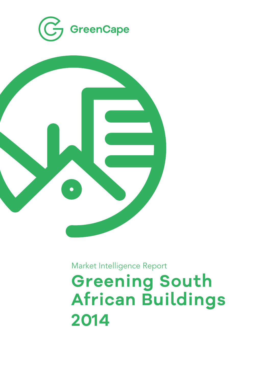



Market Intelligence Report

**Greening South African Buildings 2014**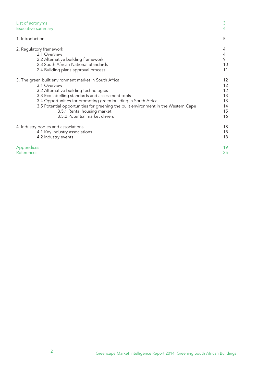| List of acronyms                                                                   | 3  |
|------------------------------------------------------------------------------------|----|
| <b>Executive summary</b>                                                           | 4  |
| 1. Introduction                                                                    | 5  |
| 2. Regulatory framework                                                            | 4  |
| 2.1 Overview                                                                       | 4  |
| 2.2 Alternative building framework                                                 | 9  |
| 2.3 South African National Standards                                               | 10 |
| 2.4 Building plans approval process                                                | 11 |
| 3. The green built environment market in South Africa                              | 12 |
| 3.1 Overview                                                                       | 12 |
| 3.2 Alternative building technologies                                              | 12 |
| 3.3 Eco labelling standards and assessment tools                                   | 13 |
| 3.4 Opportunities for promoting green building in South Africa                     | 13 |
| 3.5 Potential opportunities for greening the built environment in the Western Cape | 14 |
| 3.5.1 Rental housing market                                                        | 15 |
| 3.5.2 Potential market drivers                                                     | 16 |
| 4. Industry bodies and associations                                                | 18 |
| 4.1 Key industry associations                                                      | 18 |
| 4.2 Industry events                                                                | 18 |
| Appendices                                                                         | 19 |
| <b>References</b>                                                                  | 25 |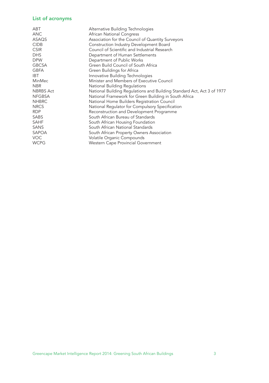## List of acronyms

| ABT              | Alternative Building Technologies                                      |
|------------------|------------------------------------------------------------------------|
| <b>ANC</b>       | African National Congress                                              |
| ASAQS            | Association for the Council of Quantity Surveyors                      |
| <b>CIDB</b>      | Construction Industry Development Board                                |
| <b>CSIR</b>      | Council of Scientific and Industrial Research                          |
| <b>DHS</b>       | Department of Human Settlements                                        |
| <b>DPW</b>       | Department of Public Works                                             |
| <b>GBCSA</b>     | Green Build Council of South Africa                                    |
| <b>GBFA</b>      | Green Buildings for Africa                                             |
| IBT.             | Innovative Building Technologies                                       |
| MinMec           | Minister and Members of Executive Council                              |
| NBR.             | National Building Regulations                                          |
| <b>NBRBS Act</b> | National Building Regulations and Building Standard Act, Act 3 of 1977 |
| <b>NFGBSA</b>    | National Framework for Green Building in South Africa                  |
| <b>NHBRC</b>     | National Home Builders Registration Council                            |
| <b>NRCS</b>      | National Regulator for Compulsory Specification                        |
| RDP              | Reconstruction and Development Programme                               |
| SABS             | South African Bureau of Standards                                      |
| <b>SAHF</b>      | South African Housing Foundation                                       |
| SANS             | South African National Standards                                       |
| SAPOA            | South African Property Owners Association                              |
| <b>VOC</b>       | Volatile Organic Compounds                                             |
| <b>WCPG</b>      | Western Cape Provincial Government                                     |
|                  |                                                                        |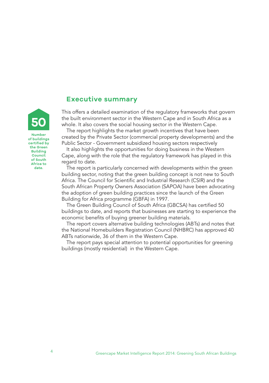# **Executive summary**

This offers a detailed examination of the regulatory frameworks that govern the built environment sector in the Western Cape and in South Africa as a whole. It also covers the social housing sector in the Western Cape.

The report highlights the market growth incentives that have been created by the Private Sector (commercial property developments) and the Public Sector - Government subsidized housing sectors respectively

It also highlights the opportunities for doing business in the Western Cape, along with the role that the regulatory framework has played in this regard to date.

The report is particularly concerned with developments within the green building sector, noting that the green building concept is not new to South Africa. The Council for Scientific and Industrial Research (CSIR) and the South African Property Owners Association (SAPOA) have been advocating the adoption of green building practices since the launch of the Green Building for Africa programme (GBFA) in 1997.

The Green Building Council of South Africa (GBCSA) has certified 50 buildings to date, and reports that businesses are starting to experience the economic benefits of buying greener building materials.

The report covers alternative building technologies (ABTs) and notes that the National Homebuilders Registration Council (NHBRC) has approved 40 ABTs nationwide, 36 of them in the Western Cape.

The report pays special attention to potential opportunities for greening buildings (mostly residential) in the Western Cape.

**Number of buildings certified by the Green Building Council of South Africa to date.**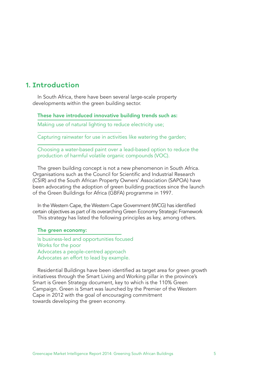## **1. Introduction**

In South Africa, there have been several large-scale property developments within the green building sector.

## These have introduced innovative building trends such as:

Making use of natural lighting to reduce electricity use;

Capturing rainwater for use in activities like watering the garden;

Choosing a water-based paint over a lead-based option to reduce the production of harmful volatile organic compounds (VOC).

The green building concept is not a new phenomenon in South Africa. Organisations such as the Council for Scientific and Industrial Research (CSIR) and the South African Property Owners' Association (SAPOA) have been advocating the adoption of green building practices since the launch of the Green Buildings for Africa (GBFA) programme in 1997.

In the Western Cape, the Western Cape Government (WCG) has identified certain objectives as part of its overarching Green Economy Strategic Framework This strategy has listed the following principles as key, among others.

#### The green economy:

Is business-led and opportunities focused Works for the poor Advocates a people-centred approach Advocates an effort to lead by example.

Residential Buildings have been identified as target area for green growth initiativess through the Smart Living and Working pillar in the province's Smart is Green Strategy document, key to which is the 110% Green Campaign. Green is Smart was launched by the Premier of the Western Cape in 2012 with the goal of encouraging commitment towards developing the green economy.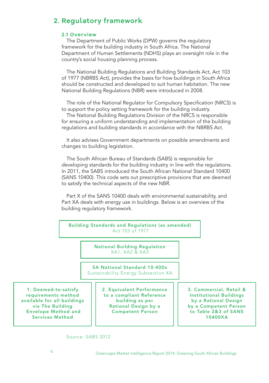# **2. Regulatory framework**

#### **2.1 Overview**

The Department of Public Works (DPW) governs the regulatory framework for the building industry in South Africa. The National Department of Human Settlements (NDHS) plays an oversight role in the country's social housing planning process.

The National Building Regulations and Building Standards Act, Act 103 of 1977 (NBRBS Act), provides the basis for how buildings in South Africa should be constructed and developed to suit human habitation. The new National Building Regulations (NBR) were introduced in 2008.

The role of the National Regulator for Compulsory Specification (NRCS) is to support the policy setting framework for the building industry.

The National Building Regulations Division of the NRCS is responsible for ensuring a uniform understanding and implementation of the building regulations and building standards in accordance with the NBRBS Act.

It also advises Government departments on possible amendments and changes to building legislation.

The South African Bureau of Standards (SABS) is responsible for developing standards for the building industry in line with the regulations. In 2011, the SABS introduced the South African National Standard 10400 (SANS 10400). This code sets out prescriptive provisions that are deemed to satisfy the technical aspects of the new NBR.

Part X of the SANS 10400 deals with environmental sustainability, and Part XA deals with energy use in buildings. Below is an overview of the building regulatory framework.

Building Standards and Regulations (as amended) Act 103 of 1977

> National Building Regulation XA1, XA2 & XA3

SA National Standard 10-400x Sustainability Energy Subsection XA

1. Deemed-to-satisfy requirements method available for all buildings via The Building Envelope Method and Services Method

2. Equivalent Performance to a compliant Reference building as per Rational Design by a Competent Person

3. Commercial, Retail & Institutional Buildings by a Rational Design by a Competent Person to Table 2&3 of SANS 10400XA

#### Source: SABS 2012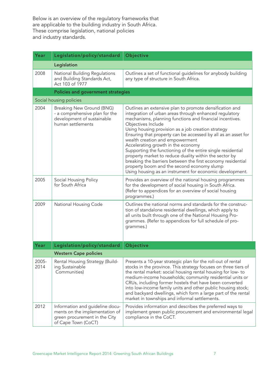Below is an overview of the regulatory frameworks that are applicable to the building industry in South Africa. These comprise legislation, national policies and industry standards.

| Year          | Legislation/policy/standard                                                                                               | Objective                                                                                                                                                                                                                                                                                                                                                                                                                                                                                                                                                                                                                                                                                             |
|---------------|---------------------------------------------------------------------------------------------------------------------------|-------------------------------------------------------------------------------------------------------------------------------------------------------------------------------------------------------------------------------------------------------------------------------------------------------------------------------------------------------------------------------------------------------------------------------------------------------------------------------------------------------------------------------------------------------------------------------------------------------------------------------------------------------------------------------------------------------|
|               | Legislation                                                                                                               |                                                                                                                                                                                                                                                                                                                                                                                                                                                                                                                                                                                                                                                                                                       |
| 2008          | National Building Regulations<br>and Building Standards Act,<br>Act 103 of 1977                                           | Outlines a set of functional guidelines for anybody building<br>any type of structure in South Africa.                                                                                                                                                                                                                                                                                                                                                                                                                                                                                                                                                                                                |
|               | <b>Policies and government strategies</b>                                                                                 |                                                                                                                                                                                                                                                                                                                                                                                                                                                                                                                                                                                                                                                                                                       |
|               | Social housing policies                                                                                                   |                                                                                                                                                                                                                                                                                                                                                                                                                                                                                                                                                                                                                                                                                                       |
| 2004          | Breaking New Ground (BNG)<br>- a comprehensive plan for the<br>development of sustainable<br>human settlements            | Outlines an extensive plan to promote densification and<br>integration of urban areas through enhanced regulatory<br>mechanisms, planning functions and financial incentives.<br>Objectives Include<br>Using housing provision as a job creation strategy<br>Ensuring that property can be accessed by all as an asset for<br>wealth creation and empowerment<br>Accelerating growth in the economy<br>Supporting the functioning of the entire single residential<br>property market to reduce duality within the sector by<br>breaking the barriers between the first economy residential<br>property boom and the second economy slump<br>Using housing as an instrument for economic development. |
| 2005          | Social Housing Policy<br>for South Africa                                                                                 | Provides an overview of the national housing programmes<br>for the development of social housing in South Africa.<br>(Refer to appendices for an overview of social housing<br>programmes.)                                                                                                                                                                                                                                                                                                                                                                                                                                                                                                           |
| 2009          | National Housing Code                                                                                                     | Outlines the national norms and standards for the construc-<br>tion of standalone residential dwellings, which apply to<br>all units built through one of the National Housing Pro-<br>grammes. (Refer to appendices for full schedule of pro-<br>grammes.)                                                                                                                                                                                                                                                                                                                                                                                                                                           |
| Year          | Legislation/policy/standard                                                                                               | Objective                                                                                                                                                                                                                                                                                                                                                                                                                                                                                                                                                                                                                                                                                             |
|               | Western Cape policies                                                                                                     |                                                                                                                                                                                                                                                                                                                                                                                                                                                                                                                                                                                                                                                                                                       |
| 2005-<br>2014 | Rental Housing Strategy (Build-<br>ing Sustainable<br>Communities)                                                        | Presents a 10-year strategic plan for the roll-out of rental<br>stocks in the province. This strategy focuses on three tiers of<br>the rental market: social housing rental housing for low- to<br>medium-income households; community residential units or<br>CRUs, including former hostels that have been converted<br>into low-income family units and other public housing stock;<br>and backyard dwellings, which form a large part of the rental<br>market in townships and informal settlements.                                                                                                                                                                                              |
| 2012          | Information and guideline docu-<br>ments on the implementation of<br>green procurement in the City<br>of Cape Town (CoCT) | Provides information and describes the preferred ways to<br>implement green public procurement and environmental legal<br>compliance in the CoCT.                                                                                                                                                                                                                                                                                                                                                                                                                                                                                                                                                     |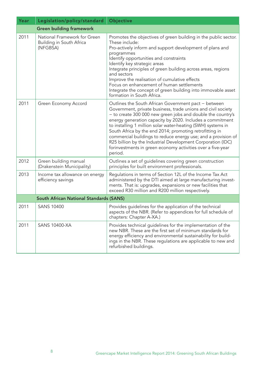| Year | Legislation/policy/standard                                          | Objective                                                                                                                                                                                                                                                                                                                                                                                                                                                                                                                                                                             |  |
|------|----------------------------------------------------------------------|---------------------------------------------------------------------------------------------------------------------------------------------------------------------------------------------------------------------------------------------------------------------------------------------------------------------------------------------------------------------------------------------------------------------------------------------------------------------------------------------------------------------------------------------------------------------------------------|--|
|      | <b>Green building framework</b>                                      |                                                                                                                                                                                                                                                                                                                                                                                                                                                                                                                                                                                       |  |
| 2011 | National Framework for Green<br>Building in South Africa<br>(NFGBSA) | Promotes the objectives of green building in the public sector.<br>These include:<br>Pro-actively inform and support development of plans and<br>programmes<br>Identify opportunities and constraints<br>Identify key strategic areas<br>Integrate principles of green building across areas, regions<br>and sectors<br>Improve the realisation of cumulative effects<br>Focus on enhancement of human settlements<br>Integrate the concept of green building into immovable asset<br>formation in South Africa.                                                                      |  |
| 2011 | Green Economy Accord                                                 | Outlines the South African Government pact - between<br>Government, private business, trade unions and civil society<br>- to create 300 000 new green jobs and double the country's<br>energy generation capacity by 2020. Includes a commitment<br>to installing 1 million solar water-heating (SWH) systems in<br>South Africa by the end 2014; promoting retrofitting in<br>commercial buildings to reduce energy use; and a provision of<br>R25 billion by the Industrial Development Corporation (IDC)<br>forinvestments in green economy activities over a five-year<br>period. |  |
| 2012 | Green building manual<br>(Drakenstein Municipality)                  | Outlines a set of guidelines covering green construction<br>principles for built environment professionals.                                                                                                                                                                                                                                                                                                                                                                                                                                                                           |  |
| 2013 | Income tax allowance on energy<br>efficiency savings                 | Regulations in terms of Section 12L of the Income Tax Act<br>administered by the DTI aimed at large manufacturing invest-<br>ments. That is: upgrades, expansions or new facilities that<br>exceed R30 million and R200 million respectively.                                                                                                                                                                                                                                                                                                                                         |  |
|      | South African National Standards (SANS)                              |                                                                                                                                                                                                                                                                                                                                                                                                                                                                                                                                                                                       |  |
| 2011 | <b>SANS 10400</b>                                                    | Provides guidelines for the application of the technical<br>aspects of the NBR. (Refer to appendices for full schedule of<br>chapters: Chapter A-XA.)                                                                                                                                                                                                                                                                                                                                                                                                                                 |  |
| 2011 | <b>SANS 10400-XA</b>                                                 | Provides technical guidelines for the implementation of the<br>new NBR. These are the first set of minimum standards for<br>energy efficiency and environmental sustainability for build-<br>ings in the NBR. These regulations are applicable to new and<br>refurbished buildings.                                                                                                                                                                                                                                                                                                   |  |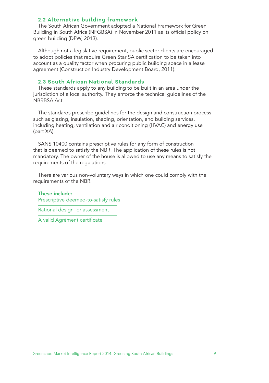#### **2.2 Alternative building framework**

The South African Government adopted a National Framework for Green Building in South Africa (NFGBSA) in November 2011 as its official policy on green building (DPW, 2013).

Although not a legislative requirement, public sector clients are encouraged to adopt policies that require Green Star SA certification to be taken into account as a quality factor when procuring public building space in a lease agreement (Construction Industry Development Board, 2011).

### **2.3 South African National Standards**

These standards apply to any building to be built in an area under the jurisdiction of a local authority. They enforce the technical guidelines of the NBRBSA Act.

The standards prescribe guidelines for the design and construction process such as glazing, insulation, shading, orientation, and building services, including heating, ventilation and air conditioning (HVAC) and energy use (part XA).

SANS 10400 contains prescriptive rules for any form of construction that is deemed to satisfy the NBR. The application of these rules is not mandatory. The owner of the house is allowed to use any means to satisfy the requirements of the regulations.

There are various non-voluntary ways in which one could comply with the requirements of the NBR.

These include: Prescriptive deemed-to-satisfy rules

Rational design or assessment

A valid Agrément certificate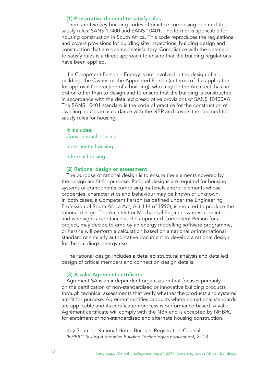#### (1) Prescriptive deemed-to-satisfy rules

There are two key building codes of practice comprising deemed-tosatisfy rules: SANS 10400 and SANS 10401. The former is applicable for housing construction in South Africa. This code reproduces the regulations and covers provisions for building site inspections, building design and construction that are deemed satisfactory. Compliance with the deemedto-satisfy rules is a direct approach to ensure that the building regulations have been applied.

If a Competent Person – Energy is not involved in the design of a building, the Owner, or the Appointed Person (in terms of the application for approval for erection of a building), who may be the Architect, has no option other than to design and to ensure that the building is constructed in accordance with the detailed prescriptive provisions of SANS 10400XA. The SANS 10401 standard is the code of practice for the construction of dwelling houses in accordance with the NBR and covers the deemed-tosatisfy rules for housing.

#### It includes:

Conventional housing

Incremental housing

Informal housing

#### (2) Rational design or assessment

The purpose of rational design is to ensure the elements covered by the design are fit for purpose. Rational designs are required for housing systems or components comprising materials and/or elements whose properties, characteristics and behaviour may be known or unknown. In both cases, a Competent Person (as defined under the Engineering Profession of South Africa Act, Act 114 of 1990), is required to produce the rational design. The Architect or Mechanical Engineer who is appointed and who signs acceptance as the appointed Competent Person for a project, may decide to employ an energy modelling software programme, or he/she will perform a calculation based on a national or international standard or similarly authoritative document to develop a rational design for the building's energy use.

The rational design includes a detailed structural analysis and detailed design of critical members and connection design details.

#### (3) A valid Agrément certificate

Agrément SA is an independent organisation that focuses primarily on the certification of non-standardised or innovative building products through technical assessments that verify whether the products and systems are fit for purpose. Agrément certifies products where no national standards are applicable and its certification process is performance-based. A valid Agrément certificate will comply with the NBR and is accepted by NHBRC for enrolment of non-standardised and alternate housing construction.

Key Sources: National Home Builders Registration Council *(NHBRC Talking Alternative Building Technologies publication)*, 2013.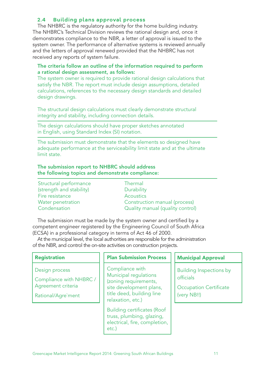## **2.4 Building plans approval process**

The NHBRC is the regulatory authority for the home building industry. The NHBRC's Technical Division reviews the rational design and, once it demonstrates compliance to the NBR, a letter of approval is issued to the system owner. The performance of alternative systems is reviewed annually and the letters of approval renewed provided that the NHBRC has not received any reports of system failure.

### The criteria follow an outline of the information required to perform a rational design assessment, as follows:

The system owner is required to provide rational design calculations that satisfy the NBR. The report must include design assumptions, detailed calculations, references to the necessary design standards and detailed design drawings.

The structural design calculations must clearly demonstrate structural integrity and stability, including connection details.

The design calculations should have proper sketches annotated in English, using Standard Index (SI) notation.

The submission must demonstrate that the elements so designed have adequate performance at the serviceability limit state and at the ultimate limit state.

## The submission report to NHBRC should address the following topics and demonstrate compliance:

| Structural performance   |
|--------------------------|
| (strength and stability) |
| Fire resistance          |
| <b>Water penetration</b> |
| Condensation             |

Thermal **Durability Acoustics** Construction manual (process) Quality manual (quality control)

The submission must be made by the system owner and certified by a competent engineer registered by the Engineering Council of South Africa (ECSA) in a professional category in terms of Act 46 of 2000.

At the municipal level, the local authorities are responsible for the administration of the NBR, and control the on-site activities on construction projects.

| <b>Registration</b>                                                                   | <b>Plan Submission Process</b>                                                                                                                 | <b>Municipal Approval</b>                                                                   |  |
|---------------------------------------------------------------------------------------|------------------------------------------------------------------------------------------------------------------------------------------------|---------------------------------------------------------------------------------------------|--|
| Design process<br>Compliance with NHBRC /<br>Agreement criteria<br>Rational/Agre`ment | Compliance with<br>Municipal regulations<br>(zoning requirements,<br>site development plans,<br>title deed, building line<br>relaxation, etc.) | <b>Building Inspections by</b><br>officials<br><b>Occupation Certificate</b><br>(very NB!!) |  |
|                                                                                       | <b>Building certificates (Roof</b><br>truss, plumbing, glazing,<br>electrical, fire, completion,<br>etc.)                                      |                                                                                             |  |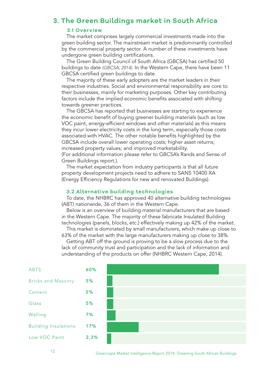# **3. The Green Buildings market in South Africa**

### **3.1 Overview**

The market comprises largely commercial investments made into the green building sector. The mainstream market is predominantly controlled by the commercial property sector. A number of these investments have undergone green building certifications.

The Green Building Council of South Africa (GBCSA) has certified 50 buildings to date *(GBCSA, 2014).* In the Western Cape, there have been 11 GBCSA certified green buildings to date.

The majority of these early adopters are the market leaders in their respective industries. Social and environmental responsibility are core to their businesses, mainly for marketing purposes. Other key contributing factors include the implied economic benefits associated with shifting towards greener practices.

The GBCSA has reported that businesses are starting to experience the economic benefit of buying greener building materials (such as low VOC paint, energy-efficient windows and other materials) as this means they incur lower electricity costs in the long term, especially those costs associated with HVAC. The other notable benefits highlighted by the GBCSA include overall lower operating costs; higher asset returns; increased property values; and improved marketability.

(For additional information please refer to GBCSA's Rands and Sense of Green Buildings report.).

The market expectation from industry participants is that all future property development projects need to adhere to SANS 10400 XA (Energy Efficiency Regulations for new and renovated Buildings).

#### **3.2 Alternative building technologies**

To date, the NHBRC has approved 40 alternative building technologies (ABT) nationwide, 36 of them in the Western Cape.

Below is an overview of building material manufacturers that are based in the Western Cape. The majority of these fabricate Insulated Building technologies (panels, blocks, etc.) effectively making up 42% of the market. This market is dominated by small manufacturers, which make up close to

63% of the market with the large manufacturers making up close to 38%.

Getting ABT off the ground is proving to be a slow process due to the lack of community trust and participation and the lack of information and understanding of the products on offer (NHBRC Western Cape, 2014).



<sup>12</sup> Greencape Market Intelligence Report 2014: Greening South African Buildings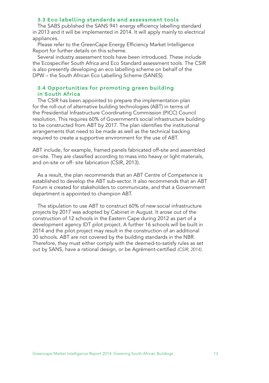### **3.3 Eco labelling standards and assessment tools**

The SABS published the SANS 941 energy efficiency labelling standard in 2013 and it will be implemented in 2014. It will apply mainly to electrical appliances.

Please refer to the GreenCape Energy Efficiency Market Intelligence Report for further details on this scheme.

Several industry assessment tools have been introduced. These include the Ecospecifier South Africa and Eco Standard assessment tools. The CSIR is also presently developing an eco labelling scheme on behalf of the DPW – the South African Eco Labelling Scheme (SANES).

## **3.4 Opportunities for promoting green building in South Africa**

The CSIR has been appointed to prepare the implementation plan for the roll-out of alternative building technologies (ABT) in terms of the Presidential Infrastructure Coordinating Commission (PICC) Council resolution. This requires 60% of Government's social infrastructure building to be constructed from ABT by 2017. The plan identifies the institutional arrangements that need to be made as well as the technical backing required to create a supportive environment for the use of ABT.

ABT include, for example, framed panels fabricated off-site and assembled on-site. They are classified according to mass into heavy or light materials, and on-site or off- site fabrication (CSIR, 2013).

As a result, the plan recommends that an ABT Centre of Competence is established to develop the ABT sub-sector. It also recommends that an ABT Forum is created for stakeholders to communicate, and that a Government department is appointed to champion ABT.

The stipulation to use ABT to construct 60% of new social infrastructure projects by 2017 was adopted by Cabinet in August. It arose out of the construction of 12 schools in the Eastern Cape during 2012 as part of a development agency IDT pilot project. A further 16 schools will be built in 2014 and the pilot project may result in the construction of an additional 30 schools. ABT are not covered by the building standards in the NBR. Therefore, they must either comply with the deemed-to-satisfy rules as set out by SANS, have a rational design, or be Agrément-certified *(CSIR, 2014)*.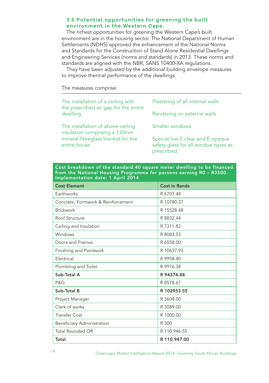### **3.5 Potential opportunities for greening the built environment in the Western Cape**

The richest opportunities for greening the Western Cape's built environment are in the housing sector. The National Department of Human Settlements (NDHS) approved the enhancement of the National Norms and Standards for the Construction of Stand Alone Residential Dwellings and Engineering Services (norms and standards) in 2013. These norms and standards are aligned with the NBR, SANS 10400-XA regulations.

They have been adjusted by the additional building envelope measures to improve thermal performance of the dwellings.

The measures comprise:

| Plastering of all internal walls                                                        |  |
|-----------------------------------------------------------------------------------------|--|
| Rendering on external walls                                                             |  |
| Smaller windows                                                                         |  |
| Special low E clear and E opaque<br>safety glass for all window types as<br>prescribed. |  |
|                                                                                         |  |

Cost breakdown of the standard 40 square meter dwelling to be financed from the National Housing Programme for persons earning R0 – R3500. Implementation date: 1 April 2014

| <b>Cost Element</b>                | <b>Cost in Rands</b> |  |
|------------------------------------|----------------------|--|
| Earthworks                         | R 6707.48            |  |
| Concrete, Formwork & Reinforcement | R 10780.37           |  |
| <b>Brickwork</b>                   | R 15528.48           |  |
| Roof Structure                     | R 8832.44            |  |
| Ceiling and Insulation             | R 7311.82            |  |
| Windows                            | R 8083.53            |  |
| Doors and Frames                   | R 6558.00            |  |
| Finishing and Paintwork            | R 10637.93           |  |
| Electrical                         | R 9958.40            |  |
| Plumbling and Toilet               | R 9976.38            |  |
| Sub-Total A                        | R 94374.88           |  |
| P&G                                | R 8578.67            |  |
| Sub-Total B                        | R 102953.55          |  |
| Project Manager                    | R 3604.00            |  |
| Clerk of works                     | R 3089.00            |  |
| <b>Transfer Cost</b>               | R 1000.00            |  |
| Beneficiary Administration         | R 300                |  |
| <b>Total Rounded Off</b>           | R 110 946.55         |  |
| Total                              | R 110 947.00         |  |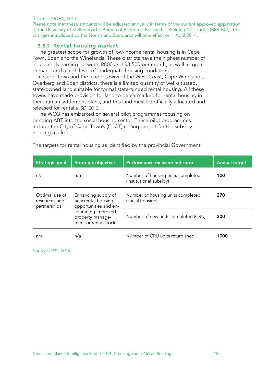Source: *NDHS, 2013*

Please note that these amounts will be adjusted annually in terms of the current approved application of the University of Stellenbosch's Bureau of Economic Research – Building Cost Index (BER-BCI). The changes introduced by the Norms and Standards will take effect on 1 April 2014.

### **3.5.1 Rental housing market**

The greatest scope for growth of low-income rental housing is in Cape Town, Eden and the Winelands. These districts have the highest number of households earning between R800 and R3 500 per month, as well as great demand and a high level of inadequate housing conditions.

In Cape Town and the leader towns of the West Coast, Cape Winelands, Overberg and Eden districts, there is a limited quantity of well-situated, state-owned land suitable for formal state-funded rental housing. All these towns have made provision for land to be earmarked for rental housing in their human settlement plans, and this land must be officially allocated and released for rental *(HSD, 2013)*.

The WCG has embarked on several pilot programmes focusing on bringing ABT into the social housing sector. These pilot programmes include the City of Cape Town's (CoCT) ceiling project for the subsidy housing market.

| Strategic goal                                  | <b>Strategic objective</b>                                         | Performance measure indicator                                | <b>Annual target</b> |
|-------------------------------------------------|--------------------------------------------------------------------|--------------------------------------------------------------|----------------------|
| n/a                                             | n/a                                                                | Number of housing units completed<br>(institutional subsidy) | 120                  |
| Optimal use of<br>resources and<br>partnerships | Enhancing supply of<br>new rental housing<br>opportunities and en- | Number of housing units completed<br>(social housing)        | 270                  |
|                                                 | couraging improved<br>property manage-<br>ment or rental stock     | Number of new units completed (CRU)                          | 300                  |
| n/a                                             | n/a                                                                | Number of CRU units refurbished                              | 1000                 |

The targets for rental housing as identified by the provincial Government

*Source: DHS, 2014:*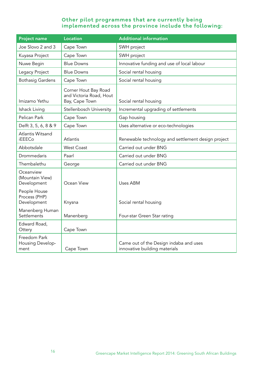## **Other pilot programmes that are currently being implemented across the province include the following:**

| <b>Project name</b>                          | <b>Location</b>                                                   | <b>Additional information</b>                                           |
|----------------------------------------------|-------------------------------------------------------------------|-------------------------------------------------------------------------|
| Joe Slovo 2 and 3                            | Cape Town                                                         | SWH project                                                             |
| Kuyasa Project                               | Cape Town                                                         | SWH project                                                             |
| Nuwe Begin                                   | <b>Blue Downs</b>                                                 | Innovative funding and use of local labour                              |
| Legacy Project                               | <b>Blue Downs</b>                                                 | Social rental housing                                                   |
| <b>Bothasig Gardens</b>                      | Cape Town                                                         | Social rental housing                                                   |
| Imizamo Yethu                                | Corner Hout Bay Road<br>and Victoria Road, Hout<br>Bay, Cape Town | Social rental housing                                                   |
| Ishack Living                                | Stellenbosch University                                           | Incremental upgrading of settlements                                    |
| Pelican Park                                 | Cape Town                                                         | Gap housing                                                             |
| Delft 3, 5, 6, 8 & 9                         | Cape Town                                                         | Uses alternative or eco-technologies                                    |
| Atlantis Witsand<br><b>iEEECo</b>            | Atlantis                                                          | Renewable technology and settlement design project                      |
| Abbotsdale                                   | <b>West Coast</b>                                                 | Carried out under BNG                                                   |
| Drommedaris                                  | Paarl                                                             | Carried out under BNG                                                   |
| Thembalethu                                  | George                                                            | Carried out under BNG                                                   |
| Oceanview<br>(Mountain View)<br>Development  | Ocean View                                                        | Uses ABM                                                                |
| People House<br>Process (PHP)<br>Development | Knysna                                                            | Social rental housing                                                   |
| Manenberg Human<br>Settlements               | Manenberg                                                         | Four-star Green Star rating                                             |
| Edward Road,<br>Ottery                       | Cape Town                                                         |                                                                         |
| Freedom Park<br>Housing Develop-<br>ment     | Cape Town                                                         | Came out of the Design indaba and uses<br>innovative building materials |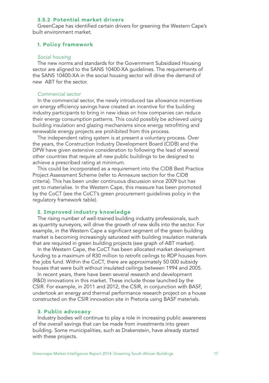#### **3.5.2 Potential market drivers**

GreenCape has identified certain drivers for greening the Western Cape's built environment market.

#### **1. Policy framework**

### *Social housing*

The new norms and standards for the Government Subsidized Housing sector are aligned to the SANS 10400-XA guidelines. The requirements of the SANS 10400-XA in the social housing sector will drive the demand of new ABT for the sector.

#### *Commercial sector*

In the commercial sector, the newly introduced tax allowance incentives on energy efficiency savings have created an incentive for the building industry participants to bring in new ideas on how companies can reduce their energy consumption patterns. This could possibly be achieved using building insulation and glazing mechanisms since energy retrofitting and renewable energy projects are prohibited from this process.

The independent rating system is at present a voluntary process. Over the years, the Construction Industry Development Board (CIDB) and the DPW have given extensive consideration to following the lead of several other countries that require all new public buildings to be designed to achieve a prescribed rating at minimum.

This could be incorporated as a requirement into the CIDB Best Practice Project Assessment Scheme (refer to Annexure section for the CIDB criteria). This has been under continuous discussion since 2009 but has yet to materialise. In the Western Cape, this measure has been promoted by the CoCT (see the CoCT's green procurement guidelines policy in the regulatory framework table).

#### **2. Improved industry knowledge**

The rising number of well-trained building industry professionals, such as quantity surveyors, will drive the growth of new skills into the sector. For example, in the Western Cape a significant segment of the green building market is becoming increasingly saturated with building insulation materials that are required in green building projects (see graph of ABT market).

In the Western Cape, the CoCT has been allocated market development funding to a maximum of R30 million to retrofit ceilings to RDP houses from the jobs fund. Within the CoCT, there are approximately 50 000 subsidy houses that were built without insulated ceilings between 1994 and 2005.

In recent years, there have been several research and development (R&D) innovations in this market. These include those launched by the CSIR. For example, in 2011 and 2012, the CSIR, in conjunction with BASF, undertook an energy and thermal performance research project on a house constructed on the CSIR innovation site in Pretoria using BASF materials.

#### **3. Public advocacy**

Industry bodies will continue to play a role in increasing public awareness of the overall savings that can be made from investments into green building. Some municipalities, such as Drakenstein, have already started with these projects.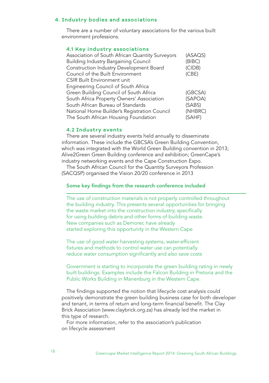#### **4. Industry bodies and associations**

There are a number of voluntary associations for the various built environment professions.

### **4.1 Key industry associations**

| Association of South African Quantity Surveyors | (ASAQS) |
|-------------------------------------------------|---------|
| <b>Building Industry Bargaining Council</b>     | (BIBC)  |
| Construction Industry Development Board         | (CIDB)  |
| Council of the Built Environment                | (CBE)   |
| <b>CSIR Built Environment unit</b>              |         |
| Engineering Council of South Africa             |         |
| Green Building Council of South Africa          | (GBCSA) |
| South Africa Property Owners' Association       | (SAPOA) |
| South African Bureau of Standards               | (SABS)  |
| National Home Builder's Registration Council    | (NHBRC) |
| The South African Housing Foundation            | (SAHF)  |

#### **4.2 Industry events**

There are several industry events held annually to disseminate information. These include the GBCSA's Green Building Convention, which was integrated with the World Green Building convention in 2013; Alive2Green Green Building conference and exhibition; GreenCape's industry networking events and the Cape Construction Expo.

The South African Council for the Quantity Surveyors Profession (SACQSP) organised the Vision 20/20 conference in 2013

### Some key findings from the research conference included

The use of construction materials is not properly controlled throughout the building industry. This presents several opportunities for bringing the waste market into the construction industry, specifically for using building debris and other forms of building waste. New companies such as Demorec have already started exploring this opportunity in the Western Cape

The use of good water harvesting systems, water-efficient fixtures and methods to control water use can potentially reduce water consumption significantly and also save costs

Government is starting to incorporate the green building rating in newly built buildings. Examples include the Falcon Building in Pretoria and the Public Works Building in Manenburg in the Western Cape.

The findings supported the notion that lifecycle cost analysis could positively demonstrate the green building business case for both developer and tenant, in terms of return and long-term financial benefit. The Clay Brick Association (www.claybrick.org.za) has already led the market in this type of research.

For more information, refer to the association's publication on lifecycle assessment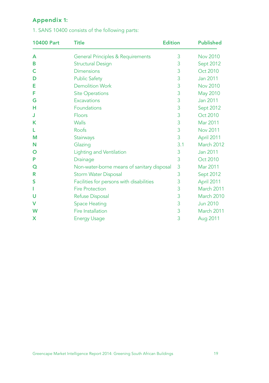# **Appendix 1:**

| <b>10400 Part</b> | <b>Title</b>                               | <b>Edition</b> | <b>Published</b>  |
|-------------------|--------------------------------------------|----------------|-------------------|
| A                 | General Principles & Requirements          | 3              | Nov 2010          |
| B                 | <b>Structural Design</b>                   | 3              | Sept 2012         |
| C                 | <b>Dimensions</b>                          | 3              | Oct 2010          |
| D                 | <b>Public Safety</b>                       | 3              | Jan 2011          |
| Е                 | <b>Demolition Work</b>                     | 3              | <b>Nov 2010</b>   |
| F                 | <b>Site Operations</b>                     | 3              | <b>May 2010</b>   |
| G                 | <b>Excavations</b>                         | 3              | Jan 2011          |
| н                 | Foundations                                | 3              | <b>Sept 2012</b>  |
| J                 | <b>Floors</b>                              | 3              | Oct 2010          |
| К                 | <b>Walls</b>                               | 3              | Mar 2011          |
| L                 | Roofs                                      | 3              | <b>Nov 2011</b>   |
| М                 | Stairways                                  | 3              | April 2011        |
| N                 | Glazing                                    | 3.1            | <b>March 2012</b> |
| O                 | <b>Lighting and Ventilation</b>            | 3              | Jan 2011          |
| P                 | Drainage                                   | 3              | Oct 2010          |
| Q                 | Non-water-borne means of sanitary disposal | 3              | Mar 2011          |
| R                 | <b>Storm Water Disposal</b>                | 3              | Sept 2012         |
| S                 | Facilities for persons with disabilities   | 3              | April 2011        |
|                   | <b>Fire Protection</b>                     | 3              | <b>March 2011</b> |
| υ                 | Refuse Disposal                            | 3              | <b>March 2010</b> |
| v                 | <b>Space Heating</b>                       | 3              | <b>Jun 2010</b>   |
| W                 | <b>Fire Installation</b>                   | 3              | <b>March 2011</b> |
| x                 | <b>Energy Usage</b>                        | 3              | Aug 2011          |

## 1. SANS 10400 consists of the following parts: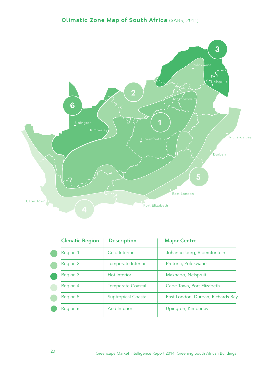# **Climatic Zone Map of South Africa** (SABS, 2011)



| <b>Climatic Region</b> | <b>Description</b>         | <b>Major Centre</b>               |
|------------------------|----------------------------|-----------------------------------|
| Region 1               | Cold Interior              | Johannesburg, Bloemfontein        |
| Region 2               | <b>Temperate Interior</b>  | Pretoria, Polokwane               |
| Region 3               | <b>Hot Interior</b>        | Makhado, Nelspruit                |
| Region 4               | <b>Temperate Coastal</b>   | Cape Town, Port Elizabeth         |
| Region 5               | <b>Suptropical Coastal</b> | East London, Durban, Richards Bay |
| Region 6               | Arid Interior              | Upington, Kimberley               |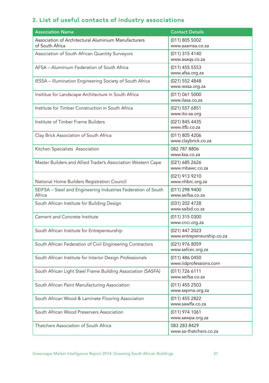# **2. List of useful contacts of industry associations**

| <b>Association Name</b>                                                 | <b>Contact Details</b>                      |
|-------------------------------------------------------------------------|---------------------------------------------|
| Association of Architectural Aluminium Manufacturers<br>of South Africa | (011) 805 5002<br>www.aaamsa.co.za          |
| Association of South African Quantity Surveyors                         | (011) 315 4140<br>www.asaqs.co.za           |
| AFSA – Aluminium Federation of South Africa                             | (011) 455 5553<br>www.afsa.org.za           |
| IESSA - Illumination Engineering Society of South Africa                | (021) 552 4848<br>www.iessa.org.za          |
| Insititue for Landscape Architecture in South Africa                    | (011) 061 5000<br>www.ilasa.co.za           |
| Institute for Timber Construction in South Africa                       | (021) 557 6851<br>www.ito-sa.org            |
| Institute of Timber Frame Builders                                      | (021) 845 4435<br>www.itfb.co.za            |
| Clay Brick Association of South Africa                                  | (011) 805 4206<br>www.claybrick.co.za       |
| Kitchen Specialists Association                                         | 082 787 8806<br>www.ksa.co.za               |
| Master Builders and Allied Trader's Association Western Cape            | (021) 685 2626<br>www.mbawc.co.za           |
| National Home Builders Registration Council                             | (021) 913 9210<br>www.nhbrc.org.za          |
| SEIFSA - Steel and Engineering Industries Federation of South<br>Africa | (011) 298 9400<br>www.seifsa.co.za          |
| South African Institute for Building Design                             | (031) 202 4728<br>www.saibd.co.za           |
| Cement and Concrete Institute                                           | (011) 315 0300<br>www.cnci.org.za           |
| South African Institute for Entrepeneurship                             | (021) 447 2023<br>www.entrepeneurship.co.za |
| South African Federation of Civil Engineering Contractors               | (021) 976 8059<br>www.safcec.org.za         |
| South African Institute for Interior Design Professionals               | (011) 486 0450<br>www.iidprofessions.com    |
| South African Light Steel Frame Building Association (SASFA)            | (011) 726 6111<br>www.seifsa.co.za          |
| South African Paint Manufacturing Association                           | (011) 455 2503<br>www.sapma.org.za          |
| South African Wood & Laminate Flooring Association                      | (011) 455 2822<br>www.sawlfa.co.za          |
| South African Wood Preservers Association                               | (011) 974 1061<br>www.sawpa.org.za          |
| Thatchers Association of South Africa                                   | 083 283 8429<br>www.sa-thatchers.co.za      |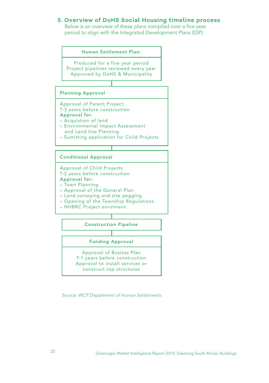## **3. Overview of DoHS Social Housing timeline process**

 Below is an overview of these plans compiled over a five-year period to align with the Integrated Development Plans (IDP)



*Source: WCP Department of Human Settlements*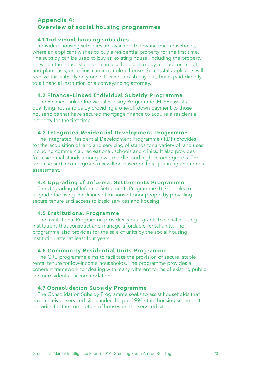## **Appendix 4: Overview of social housing programmes**

### **4.1 Individual housing subsidies**

Individual housing subsidies are available to low-income households, where an applicant wishes to buy a residential property for the first time. The subsidy can be used to buy an existing house, including the property on which the house stands. It can also be used to buy a house on a plotand-plan basis, or to finish an incomplete house. Successful applicants will receive this subsidy only once. It is not a cash pay-out, but is paid directly to a financial institution or a conveyancing attorney.

### **4.2 Finance-Linked Individual Subsidy Programme**

The Finance-Linked Individual Subsidy Programme (FLISP) assists qualifying households by providing a one-off down payment to those households that have secured mortgage finance to acquire a residential property for the first time.

#### **4.3 Integrated Residential Development Programme**

The Integrated Residential Development Programme (IRDP) provides for the acquisition of land and servicing of stands for a variety of land uses including commercial, recreational, schools and clinics. It also provides for residential stands among low-, middle- and high-income groups. The land use and income group mix will be based on local planning and needs assessment.

#### **4.4 Upgrading of Informal Settlements Programme**

The Upgrading of Informal Settlements Programme (UISP) seeks to upgrade the living conditions of millions of poor people by providing secure tenure and access to basic services and housing.

### **4.5 Institutional Programme**

The Institutional Programme provides capital grants to social housing institutions that construct and manage affordable rental units. The programme also provides for the sale of units by the social housing institution after at least four years.

#### **4.6 Community Residential Units Programme**

The CRU programme aims to facilitate the provision of secure, stable, rental tenure for low-income households. The programme provides a coherent framework for dealing with many different forms of existing public sector residential accommodation.

### **4.7 Consolidation Subsidy Programme**

The Consolidation Subsidy Programme seeks to assist households that have received serviced sites under the pre-1994 state housing scheme. It provides for the completion of houses on the serviced sites.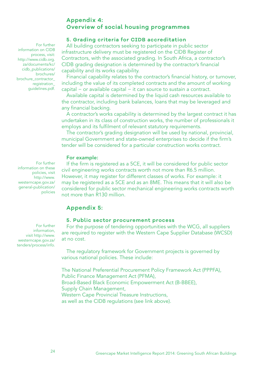## **Appendix 4: Overview of social housing programmes**

### **5. Grading criteria for CIDB accreditation**

All building contractors seeking to participate in public sector infrastructure delivery must be registered on the CIDB Register of Contractors, with the associated grading. In South Africa, a contractor's CIDB grading designation is determined by the contractor's financial capability and its works capability.

Financial capability relates to the contractor's financial history, or turnover, including the value of its completed contracts and the amount of working capital − or available capital − it can source to sustain a contract.

Available capital is determined by the liquid cash resources available to the contractor, including bank balances, loans that may be leveraged and any financial backing.

A contractor's works capability is determined by the largest contract it has undertaken in its class of construction works, the number of professionals it employs and its fulfilment of relevant statutory requirements.

The contractor's grading designation will be used by national, provincial, municipal Government and state-owned enterprises to decide if the firm's tender will be considered for a particular construction works contract.

#### For example:

If the firm is registered as a 5CE, it will be considered for public sector civil engineering works contracts worth not more than R6.5 million. However, it may register for different classes of works. For example: it may be registered as a 5CE and as an 8ME. This means that it will also be considered for public sector mechanical engineering works contracts worth not more than R130 million.

## **Appendix 5:**

### **5. Public sector procurement process**

For the purpose of tendering opportunities with the WCG, all suppliers are required to register with the Western Cape Supplier Database (WCSD) at no cost.

The regulatory framework for Government projects is governed by various national policies. These include:

The National Preferential Procurement Policy Framework Act (PPPFA), Public Finance Management Act (PFMA), Broad-Based Black Economic Empowerment Act (B-BBEE), Supply Chain Management, Western Cape Provincial Treasure Instructions, as well as the CIDB regulations (see link above).

For further information on CIDB process, visit: http://www.cidb.org. za/documents/kc/ cidb\_publications/ brochures/ brochure\_contractor\_ registration\_ guidelines.pdf.

For further information on these policies, visit http://www. westerncape.gov.za/ general-publication/ policies

 For further information, visit http://www. westerncape.gov.za/ tenders/process/info.